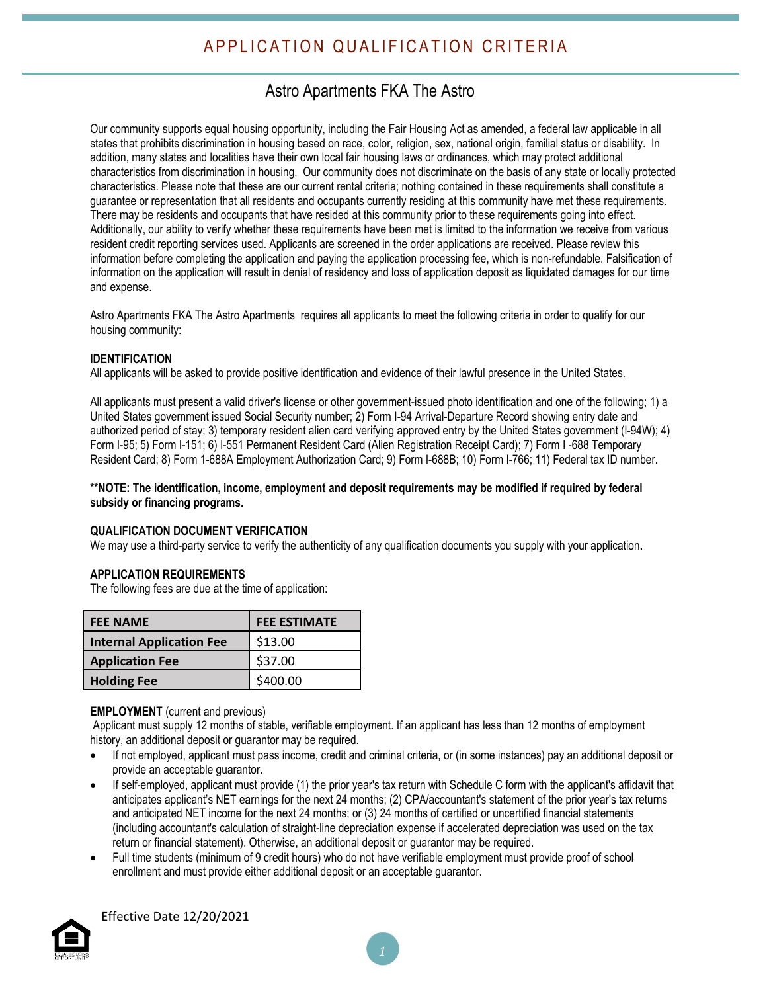## Astro Apartments FKA The Astro

Our community supports equal housing opportunity, including the Fair Housing Act as amended, a federal law applicable in all states that prohibits discrimination in housing based on race, color, religion, sex, national origin, familial status or disability. In addition, many states and localities have their own local fair housing laws or ordinances, which may protect additional characteristics from discrimination in housing. Our community does not discriminate on the basis of any state or locally protected characteristics. Please note that these are our current rental criteria; nothing contained in these requirements shall constitute a guarantee or representation that all residents and occupants currently residing at this community have met these requirements. There may be residents and occupants that have resided at this community prior to these requirements going into effect. Additionally, our ability to verify whether these requirements have been met is limited to the information we receive from various resident credit reporting services used. Applicants are screened in the order applications are received. Please review this information before completing the application and paying the application processing fee, which is non-refundable. Falsification of information on the application will result in denial of residency and loss of application deposit as liquidated damages for our time and expense.

Astro Apartments FKA The Astro Apartments requires all applicants to meet the following criteria in order to qualify for our housing community:

#### **IDENTIFICATION**

All applicants will be asked to provide positive identification and evidence of their lawful presence in the United States.

All applicants must present a valid driver's license or other government-issued photo identification and one of the following; 1) a United States government issued Social Security number; 2) Form I-94 Arrival-Departure Record showing entry date and authorized period of stay; 3) temporary resident alien card verifying approved entry by the United States government (I-94W); 4) Form I-95; 5) Form I-151; 6) I-551 Permanent Resident Card (Alien Registration Receipt Card); 7) Form I -688 Temporary Resident Card; 8) Form 1-688A Employment Authorization Card; 9) Form I-688B; 10) Form I-766; 11) Federal tax ID number.

#### **\*\*NOTE: The identification, income, employment and deposit requirements may be modified if required by federal subsidy or financing programs.**

#### **QUALIFICATION DOCUMENT VERIFICATION**

We may use a third-party service to verify the authenticity of any qualification documents you supply with your application**.**

#### **APPLICATION REQUIREMENTS**

The following fees are due at the time of application:

| <b>FEE NAME</b>                 | <b>FEE ESTIMATE</b> |
|---------------------------------|---------------------|
| <b>Internal Application Fee</b> | \$13.00             |
| <b>Application Fee</b>          | \$37.00             |
| <b>Holding Fee</b>              | \$400.00            |

#### **EMPLOYMENT** (current and previous)

Applicant must supply 12 months of stable, verifiable employment. If an applicant has less than 12 months of employment history, an additional deposit or guarantor may be required.

- If not employed, applicant must pass income, credit and criminal criteria, or (in some instances) pay an additional deposit or provide an acceptable guarantor.
- If self-employed, applicant must provide (1) the prior year's tax return with Schedule C form with the applicant's affidavit that anticipates applicant's NET earnings for the next 24 months; (2) CPA/accountant's statement of the prior year's tax returns and anticipated NET income for the next 24 months; or (3) 24 months of certified or uncertified financial statements (including accountant's calculation of straight-line depreciation expense if accelerated depreciation was used on the tax return or financial statement). Otherwise, an additional deposit or guarantor may be required.
- Full time students (minimum of 9 credit hours) who do not have verifiable employment must provide proof of school enrollment and must provide either additional deposit or an acceptable guarantor.



Effective Date 12/20/2021

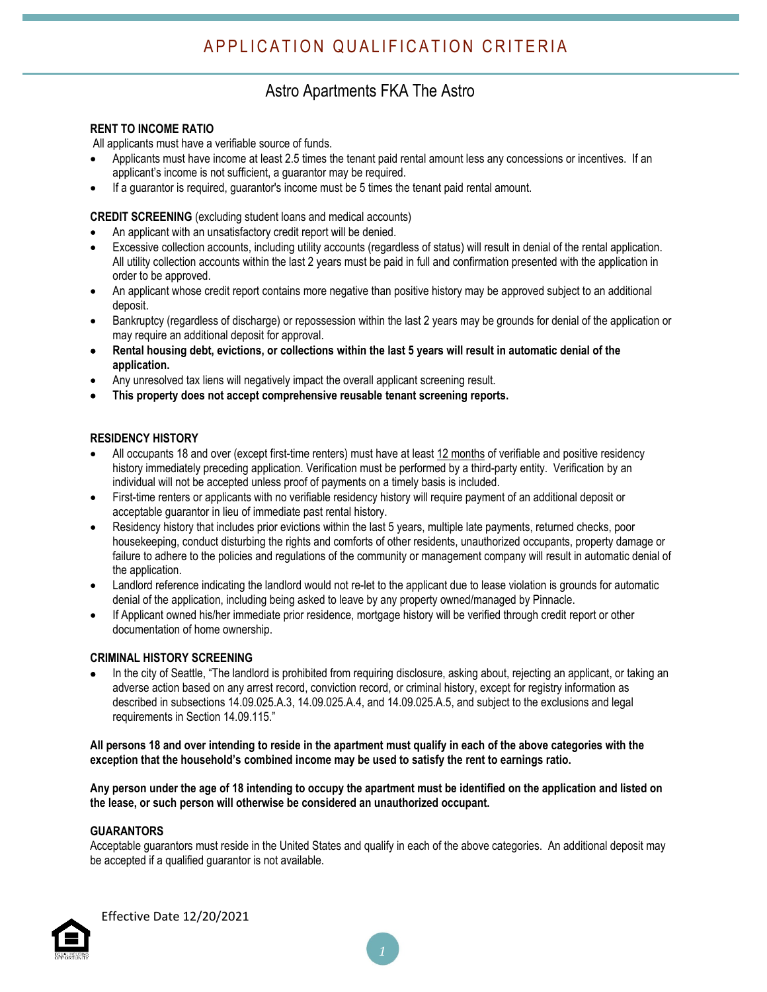### Astro Apartments FKA The Astro

#### **RENT TO INCOME RATIO**

All applicants must have a verifiable source of funds.

- Applicants must have income at least 2.5 times the tenant paid rental amount less any concessions or incentives. If an applicant's income is not sufficient, a guarantor may be required.
- If a guarantor is required, guarantor's income must be 5 times the tenant paid rental amount.

**CREDIT SCREENING** (excluding student loans and medical accounts)

- An applicant with an unsatisfactory credit report will be denied.
- Excessive collection accounts, including utility accounts (regardless of status) will result in denial of the rental application. All utility collection accounts within the last 2 years must be paid in full and confirmation presented with the application in order to be approved.
- An applicant whose credit report contains more negative than positive history may be approved subject to an additional deposit.
- Bankruptcy (regardless of discharge) or repossession within the last 2 years may be grounds for denial of the application or may require an additional deposit for approval.
- Rental housing debt, evictions, or collections within the last 5 years will result in automatic denial of the **application.**
- Any unresolved tax liens will negatively impact the overall applicant screening result.
- **This property does not accept comprehensive reusable tenant screening reports.**

#### **RESIDENCY HISTORY**

- All occupants 18 and over (except first-time renters) must have at least 12 months of verifiable and positive residency history immediately preceding application. Verification must be performed by a third-party entity. Verification by an individual will not be accepted unless proof of payments on a timely basis is included.
- First-time renters or applicants with no verifiable residency history will require payment of an additional deposit or acceptable guarantor in lieu of immediate past rental history.
- Residency history that includes prior evictions within the last 5 years, multiple late payments, returned checks, poor housekeeping, conduct disturbing the rights and comforts of other residents, unauthorized occupants, property damage or failure to adhere to the policies and regulations of the community or management company will result in automatic denial of the application.
- Landlord reference indicating the landlord would not re-let to the applicant due to lease violation is grounds for automatic denial of the application, including being asked to leave by any property owned/managed by Pinnacle.
- If Applicant owned his/her immediate prior residence, mortgage history will be verified through credit report or other documentation of home ownership.

#### **CRIMINAL HISTORY SCREENING**

 In the city of Seattle, "The landlord is prohibited from requiring disclosure, asking about, rejecting an applicant, or taking an adverse action based on any arrest record, conviction record, or criminal history, except for registry information as described in subsections 14.09.025.A.3, 14.09.025.A.4, and 14.09.025.A.5, and subject to the exclusions and legal requirements in Section 14.09.115."

#### All persons 18 and over intending to reside in the apartment must qualify in each of the above categories with the **exception that the household's combined income may be used to satisfy the rent to earnings ratio.**

Any person under the age of 18 intending to occupy the apartment must be identified on the application and listed on **the lease, or such person will otherwise be considered an unauthorized occupant.**

#### **GUARANTORS**

Acceptable guarantors must reside in the United States and qualify in each of the above categories. An additional deposit may be accepted if a qualified guarantor is not available.

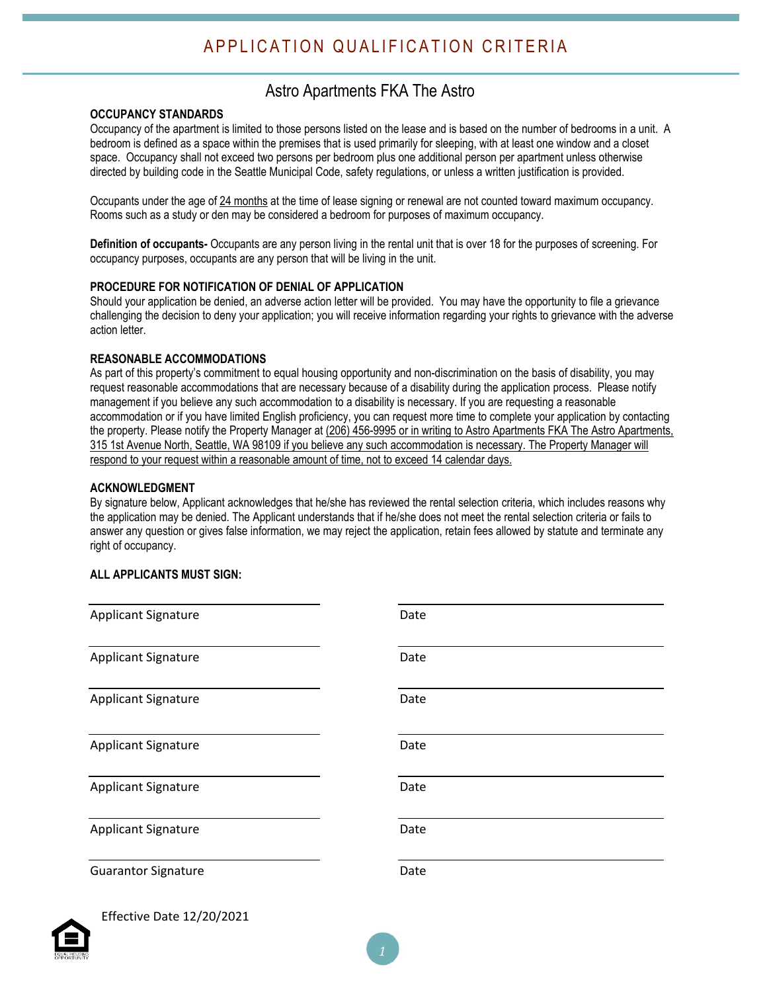# APPLICATION QUALIFICATION CRITERIA

### Astro Apartments FKA The Astro

#### **OCCUPANCY STANDARDS**

Occupancy of the apartment is limited to those persons listed on the lease and is based on the number of bedrooms in a unit. A bedroom is defined as a space within the premises that is used primarily for sleeping, with at least one window and a closet space. Occupancy shall not exceed two persons per bedroom plus one additional person per apartment unless otherwise directed by building code in the Seattle Municipal Code, safety regulations, or unless a written justification is provided.

Occupants under the age of 24 months at the time of lease signing or renewal are not counted toward maximum occupancy. Rooms such as a study or den may be considered a bedroom for purposes of maximum occupancy.

**Definition of occupants-** Occupants are any person living in the rental unit that is over 18 for the purposes of screening. For occupancy purposes, occupants are any person that will be living in the unit.

#### **PROCEDURE FOR NOTIFICATION OF DENIAL OF APPLICATION**

Should your application be denied, an adverse action letter will be provided. You may have the opportunity to file a grievance challenging the decision to deny your application; you will receive information regarding your rights to grievance with the adverse action letter.

#### **REASONABLE ACCOMMODATIONS**

As part of this property's commitment to equal housing opportunity and non-discrimination on the basis of disability, you may request reasonable accommodations that are necessary because of a disability during the application process. Please notify management if you believe any such accommodation to a disability is necessary. If you are requesting a reasonable accommodation or if you have limited English proficiency, you can request more time to complete your application by contacting the property. Please notify the Property Manager at (206) 456-9995 or in writing to Astro Apartments FKA The Astro Apartments, 315 1st Avenue North, Seattle, WA 98109 if you believe any such accommodation is necessary. The Property Manager will respond to your request within a reasonable amount of time, not to exceed 14 calendar days.

#### **ACKNOWLEDGMENT**

By signature below, Applicant acknowledges that he/she has reviewed the rental selection criteria, which includes reasons why the application may be denied. The Applicant understands that if he/she does not meet the rental selection criteria or fails to answer any question or gives false information, we may reject the application, retain fees allowed by statute and terminate any right of occupancy.

#### **ALL APPLICANTS MUST SIGN:**

| <b>Applicant Signature</b>       | Date |
|----------------------------------|------|
| <b>Applicant Signature</b>       | Date |
| <b>Applicant Signature</b>       | Date |
| <b>Applicant Signature</b>       | Date |
| <b>Applicant Signature</b>       | Date |
| <b>Applicant Signature</b>       | Date |
| <b>Guarantor Signature</b>       | Date |
| <b>Effective Date 12/20/2021</b> |      |



Effective Date 12/20/2021